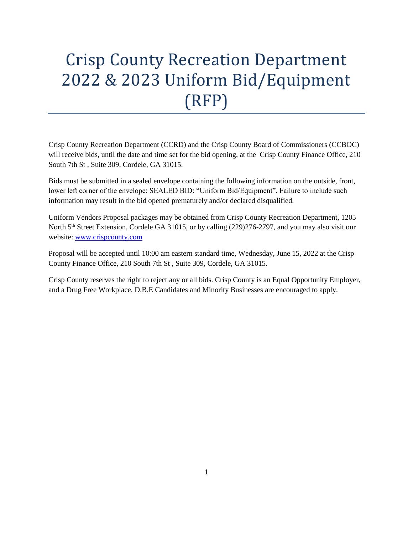# Crisp County Recreation Department 2022 & 2023 Uniform Bid/Equipment (RFP)

Crisp County Recreation Department (CCRD) and the Crisp County Board of Commissioners (CCBOC) will receive bids, until the date and time set for the bid opening, at the Crisp County Finance Office, 210 South 7th St , Suite 309, Cordele, GA 31015.

Bids must be submitted in a sealed envelope containing the following information on the outside, front, lower left corner of the envelope: SEALED BID: "Uniform Bid/Equipment". Failure to include such information may result in the bid opened prematurely and/or declared disqualified.

Uniform Vendors Proposal packages may be obtained from Crisp County Recreation Department, 1205 North 5<sup>th</sup> Street Extension, Cordele GA 31015, or by calling (229)276-2797, and you may also visit our website: [www.crispcounty.com](http://www.crispcounty.com/)

Proposal will be accepted until 10:00 am eastern standard time, Wednesday, June 15, 2022 at the Crisp County Finance Office, 210 South 7th St , Suite 309, Cordele, GA 31015.

Crisp County reserves the right to reject any or all bids. Crisp County is an Equal Opportunity Employer, and a Drug Free Workplace. D.B.E Candidates and Minority Businesses are encouraged to apply.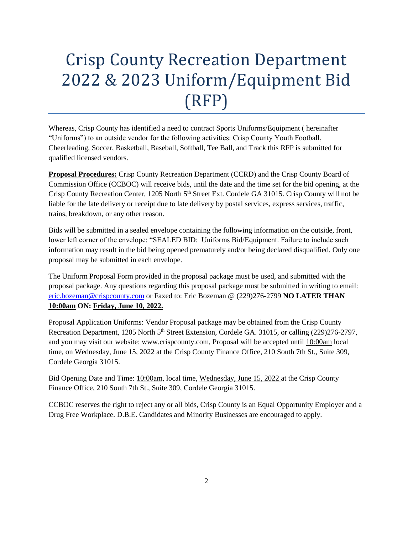# Crisp County Recreation Department 2022 & 2023 Uniform/Equipment Bid (RFP)

Whereas, Crisp County has identified a need to contract Sports Uniforms/Equipment ( hereinafter "Uniforms") to an outside vendor for the following activities: Crisp County Youth Football, Cheerleading, Soccer, Basketball, Baseball, Softball, Tee Ball, and Track this RFP is submitted for qualified licensed vendors.

**Proposal Procedures:** Crisp County Recreation Department (CCRD) and the Crisp County Board of Commission Office (CCBOC) will receive bids, until the date and the time set for the bid opening, at the Crisp County Recreation Center, 1205 North 5<sup>th</sup> Street Ext. Cordele GA 31015. Crisp County will not be liable for the late delivery or receipt due to late delivery by postal services, express services, traffic, trains, breakdown, or any other reason.

Bids will be submitted in a sealed envelope containing the following information on the outside, front, lower left corner of the envelope: "SEALED BID: Uniforms Bid/Equipment. Failure to include such information may result in the bid being opened prematurely and/or being declared disqualified. Only one proposal may be submitted in each envelope.

The Uniform Proposal Form provided in the proposal package must be used, and submitted with the proposal package. Any questions regarding this proposal package must be submitted in writing to email: [eric.bozeman@crispcounty.com](mailto:eric.bozeman@crispcounty.com) or Faxed to: Eric Bozeman @ (229)276-2799 **NO LATER THAN 10:00am ON: Friday, June 10, 2022.**

Proposal Application Uniforms: Vendor Proposal package may be obtained from the Crisp County Recreation Department, 1205 North 5<sup>th</sup> Street Extension, Cordele GA. 31015, or calling (229)276-2797, and you may visit our website: www.crispcounty.com, Proposal will be accepted until 10:00am local time, on Wednesday, June 15, 2022 at the Crisp County Finance Office, 210 South 7th St., Suite 309, Cordele Georgia 31015.

Bid Opening Date and Time: 10:00am, local time, Wednesday, June 15, 2022 at the Crisp County Finance Office, 210 South 7th St., Suite 309, Cordele Georgia 31015.

CCBOC reserves the right to reject any or all bids, Crisp County is an Equal Opportunity Employer and a Drug Free Workplace. D.B.E. Candidates and Minority Businesses are encouraged to apply.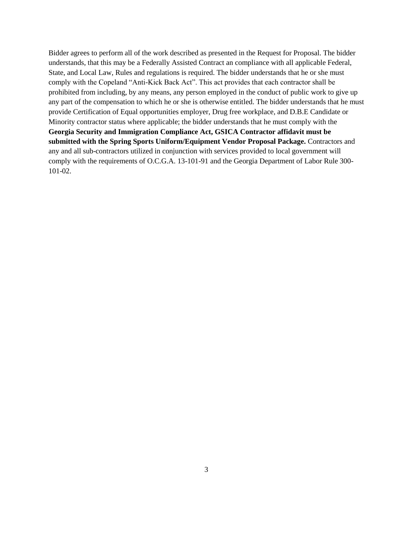Bidder agrees to perform all of the work described as presented in the Request for Proposal. The bidder understands, that this may be a Federally Assisted Contract an compliance with all applicable Federal, State, and Local Law, Rules and regulations is required. The bidder understands that he or she must comply with the Copeland "Anti-Kick Back Act". This act provides that each contractor shall be prohibited from including, by any means, any person employed in the conduct of public work to give up any part of the compensation to which he or she is otherwise entitled. The bidder understands that he must provide Certification of Equal opportunities employer, Drug free workplace, and D.B.E Candidate or Minority contractor status where applicable; the bidder understands that he must comply with the **Georgia Security and Immigration Compliance Act, GSICA Contractor affidavit must be submitted with the Spring Sports Uniform/Equipment Vendor Proposal Package.** Contractors and any and all sub-contractors utilized in conjunction with services provided to local government will comply with the requirements of O.C.G.A. 13-101-91 and the Georgia Department of Labor Rule 300- 101-02.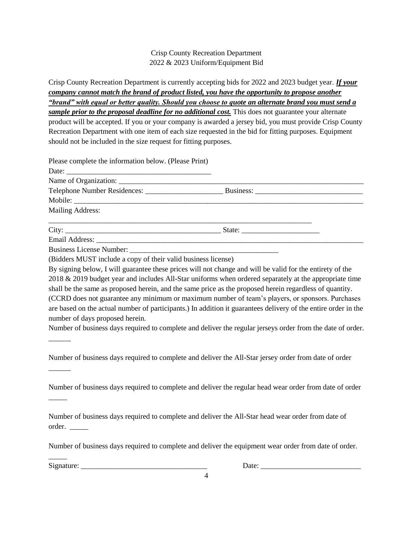## Crisp County Recreation Department 2022 & 2023 Uniform/Equipment Bid

Crisp County Recreation Department is currently accepting bids for 2022 and 2023 budget year. *If your company cannot match the brand of product listed, you have the opportunity to propose another "brand" with equal or better quality. Should you choose to quote an alternate brand you must send a sample prior to the proposal deadline for no additional cost.* This does not guarantee your alternate product will be accepted. If you or your company is awarded a jersey bid, you must provide Crisp County Recreation Department with one item of each size requested in the bid for fitting purposes. Equipment should not be included in the size request for fitting purposes.

| Please complete the information below. (Please Print)            |  |
|------------------------------------------------------------------|--|
|                                                                  |  |
|                                                                  |  |
|                                                                  |  |
|                                                                  |  |
| <b>Mailing Address:</b>                                          |  |
|                                                                  |  |
|                                                                  |  |
|                                                                  |  |
| $(D.14cm)$ MINT include a gauge of their valid business linears) |  |

(Bidders MUST include a copy of their valid business license)

By signing below, I will guarantee these prices will not change and will be valid for the entirety of the 2018 & 2019 budget year and includes All-Star uniforms when ordered separately at the appropriate time shall be the same as proposed herein, and the same price as the proposed herein regardless of quantity. (CCRD does not guarantee any minimum or maximum number of team's players, or sponsors. Purchases are based on the actual number of participants.) In addition it guarantees delivery of the entire order in the number of days proposed herein.

Number of business days required to complete and deliver the regular jerseys order from the date of order.

Number of business days required to complete and deliver the All-Star jersey order from date of order

Number of business days required to complete and deliver the regular head wear order from date of order

Number of business days required to complete and deliver the All-Star head wear order from date of order. \_\_\_\_\_

Number of business days required to complete and deliver the equipment wear order from date of order.

4

Signature: \_\_\_\_\_\_\_\_\_\_\_\_\_\_\_\_\_\_\_\_\_\_\_\_\_\_\_\_\_\_\_\_\_\_ Date: \_\_\_\_\_\_\_\_\_\_\_\_\_\_\_\_\_\_\_\_\_\_\_\_\_\_\_

 $\overline{\phantom{a}}$ 

\_\_\_\_\_\_

\_\_\_\_\_\_

 $\overline{\phantom{a}}$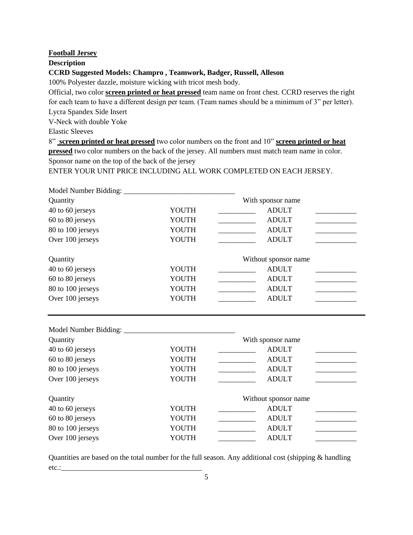#### **Football Jersey**

**Description** 

**CCRD Suggested Models: Champro , Teamwork, Badger, Russell, Alleson** 

100% Polyester dazzle, moisture wicking with tricot mesh body.

Official, two color **screen printed or heat pressed** team name on front chest. CCRD reserves the right for each team to have a different design per team. (Team names should be a minimum of 3" per letter). Lycra Spandex Side Insert

V-Neck with double Yoke

Elastic Sleeves

8" **screen printed or heat pressed** two color numbers on the front and 10" **screen printed or heat pressed** two color numbers on the back of the jersey. All numbers must match team name in color. Sponsor name on the top of the back of the jersey

ENTER YOUR UNIT PRICE INCLUDING ALL WORK COMPLETED ON EACH JERSEY.

| Quantity          |                       | With sponsor name                                               |  |
|-------------------|-----------------------|-----------------------------------------------------------------|--|
| 40 to 60 jerseys  | YOUTH                 | <b>ADULT</b>                                                    |  |
| 60 to 80 jerseys  | YOUTH                 | <b>ADULT</b><br><u> 1989 - Johann Barnett, fransk politiker</u> |  |
| 80 to 100 jerseys | YOUTH                 | <b>ADULT</b>                                                    |  |
| Over 100 jerseys  | YOUTH                 | <b>ADULT</b>                                                    |  |
| Quantity          |                       | Without sponsor name                                            |  |
| 40 to 60 jerseys  | YOUTH                 | <b>ADULT</b>                                                    |  |
| 60 to 80 jerseys  | YOUTH                 | <b>ADULT</b>                                                    |  |
| 80 to 100 jerseys | YOUTH                 | <b>ADULT</b>                                                    |  |
| Over 100 jerseys  | YOUTH<br><b>ADULT</b> |                                                                 |  |
|                   |                       |                                                                 |  |
|                   |                       |                                                                 |  |
| Quantity          |                       | With sponsor name                                               |  |
| 40 to 60 jerseys  | YOUTH                 | <b>ADULT</b>                                                    |  |
| 60 to 80 jerseys  | YOUTH                 | <b>ADULT</b>                                                    |  |
| 80 to 100 jerseys | YOUTH                 | <b>ADULT</b>                                                    |  |
| Over 100 jerseys  | YOUTH                 | <b>ADULT</b>                                                    |  |
| Quantity          |                       | Without sponsor name                                            |  |
| 40 to 60 jerseys  | YOUTH                 | <b>ADULT</b>                                                    |  |
| 60 to 80 jerseys  | YOUTH                 | <b>ADULT</b>                                                    |  |

Quantities are based on the total number for the full season. Any additional cost (shipping & handling etc.:\_\_\_\_\_\_\_\_\_\_\_\_\_\_\_\_\_\_\_\_\_\_\_\_\_\_\_\_\_\_\_\_\_\_\_\_\_\_

Over 100 jerseys YOUTH \_\_\_\_\_\_\_\_\_\_ ADULT \_\_\_\_\_\_\_\_\_\_\_

80 to 100 jerseys YOUTH \_\_\_\_\_\_\_\_\_\_\_\_\_ ADULT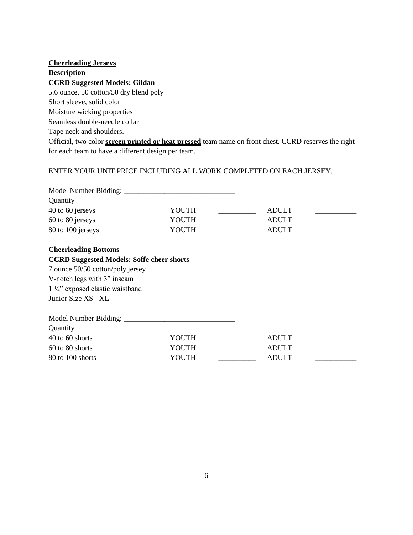| <b>Cheerleading Jerseys</b>                                                                                 |
|-------------------------------------------------------------------------------------------------------------|
| <b>Description</b>                                                                                          |
| <b>CCRD Suggested Models: Gildan</b>                                                                        |
| 5.6 ounce, 50 cotton/50 dry blend poly                                                                      |
| Short sleeve, solid color                                                                                   |
| Moisture wicking properties                                                                                 |
| Seamless double-needle collar                                                                               |
| Tape neck and shoulders.                                                                                    |
| Official, two color <b>screen printed or heat pressed</b> team name on front chest. CCRD reserves the right |
| for each team to have a different design per team.                                                          |
|                                                                                                             |

# ENTER YOUR UNIT PRICE INCLUDING ALL WORK COMPLETED ON EACH JERSEY.

| Quantity                                         |       |  |              |  |
|--------------------------------------------------|-------|--|--------------|--|
| 40 to 60 jerseys                                 | YOUTH |  | <b>ADULT</b> |  |
| 60 to 80 jerseys                                 | YOUTH |  | <b>ADULT</b> |  |
| 80 to 100 jerseys                                | YOUTH |  | <b>ADULT</b> |  |
| <b>Cheerleading Bottoms</b>                      |       |  |              |  |
| <b>CCRD Suggested Models: Soffe cheer shorts</b> |       |  |              |  |
| 7 ounce 50/50 cotton/poly jersey                 |       |  |              |  |
| V-notch legs with 3" inseam                      |       |  |              |  |
| $1\frac{1}{4}$ " exposed elastic waistband       |       |  |              |  |
| Junior Size XS - XL                              |       |  |              |  |
|                                                  |       |  |              |  |
| Quantity                                         |       |  |              |  |
| 40 to 60 shorts                                  | YOUTH |  | <b>ADULT</b> |  |
| 60 to 80 shorts                                  | YOUTH |  | <b>ADULT</b> |  |
| 80 to 100 shorts                                 | YOUTH |  | <b>ADULT</b> |  |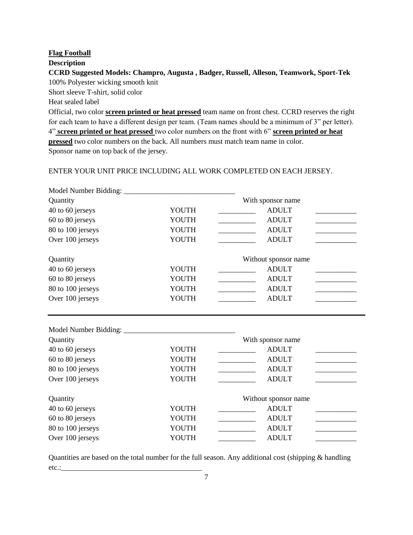## **Flag Football**

## **Description**

# **CCRD Suggested Models: Champro, Augusta , Badger, Russell, Alleson, Teamwork, Sport-Tek**  100% Polyester wicking smooth knit

Short sleeve T-shirt, solid color

Heat sealed label

Official, two color **screen printed or heat pressed** team name on front chest. CCRD reserves the right for each team to have a different design per team. (Team names should be a minimum of 3" per letter). 4" **screen printed or heat pressed** two color numbers on the front with 6" **screen printed or heat pressed** two color numbers on the back. All numbers must match team name in color. Sponsor name on top back of the jersey.

## ENTER YOUR UNIT PRICE INCLUDING ALL WORK COMPLETED ON EACH JERSEY.

| Quantity          |       | With sponsor name                        |
|-------------------|-------|------------------------------------------|
| 40 to 60 jerseys  | YOUTH | <b>ADULT</b>                             |
| 60 to 80 jerseys  | YOUTH | <b>ADULT</b>                             |
| 80 to 100 jerseys | YOUTH | <b>ADULT</b>                             |
| Over 100 jerseys  | YOUTH | <b>ADULT</b>                             |
| Quantity          |       | Without sponsor name                     |
| 40 to 60 jerseys  | YOUTH | <b>ADULT</b>                             |
| 60 to 80 jerseys  | YOUTH | <b>ADULT</b>                             |
| 80 to 100 jerseys | YOUTH | <b>ADULT</b>                             |
| Over 100 jerseys  | YOUTH | <b>ADULT</b>                             |
|                   |       |                                          |
| Quantity          |       | With sponsor name                        |
| 40 to 60 jerseys  | YOUTH | <b>ADULT</b>                             |
| 60 to 80 jerseys  | YOUTH | <b>ADULT</b><br>$\overline{\phantom{a}}$ |
| 80 to 100 jerseys | YOUTH | <b>ADULT</b><br><u> Tanzania (</u>       |
| Over 100 jerseys  | YOUTH | <b>ADULT</b>                             |
| Quantity          |       | Without sponsor name                     |
| 40 to 60 jerseys  | YOUTH | <b>ADULT</b>                             |
| 60 to 80 jerseys  | YOUTH | <b>ADULT</b>                             |
| 80 to 100 jerseys | YOUTH | <b>ADULT</b>                             |
| Over 100 jerseys  | YOUTH | <b>ADULT</b>                             |

Quantities are based on the total number for the full season. Any additional cost (shipping & handling etc.:\_\_\_\_\_\_\_\_\_\_\_\_\_\_\_\_\_\_\_\_\_\_\_\_\_\_\_\_\_\_\_\_\_\_\_\_\_\_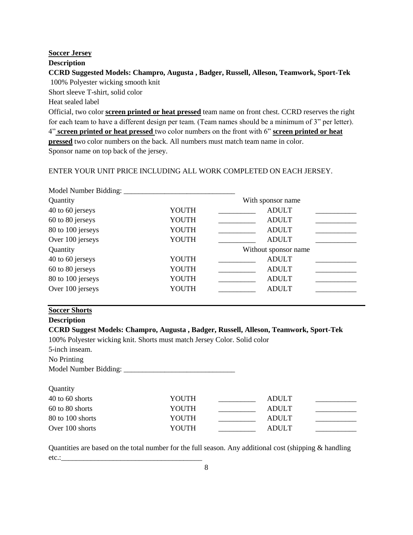#### **Soccer Jersey**

#### **Description**

# **CCRD Suggested Models: Champro, Augusta , Badger, Russell, Alleson, Teamwork, Sport-Tek**  100% Polyester wicking smooth knit

Short sleeve T-shirt, solid color

Heat sealed label

Official, two color **screen printed or heat pressed** team name on front chest. CCRD reserves the right for each team to have a different design per team. (Team names should be a minimum of 3" per letter). 4" **screen printed or heat pressed** two color numbers on the front with 6" **screen printed or heat pressed** two color numbers on the back. All numbers must match team name in color. Sponsor name on top back of the jersey.

## ENTER YOUR UNIT PRICE INCLUDING ALL WORK COMPLETED ON EACH JERSEY.

| Model Number Bidding: |              |                      |  |
|-----------------------|--------------|----------------------|--|
| Quantity              |              | With sponsor name    |  |
| 40 to 60 jerseys      | YOUTH        | <b>ADULT</b>         |  |
| 60 to 80 jerseys      | YOUTH        | <b>ADULT</b>         |  |
| 80 to 100 jerseys     | <b>YOUTH</b> | <b>ADULT</b>         |  |
| Over 100 jerseys      | YOUTH        | <b>ADULT</b>         |  |
| Quantity              |              | Without sponsor name |  |
| 40 to 60 jerseys      | YOUTH        | <b>ADULT</b>         |  |
| 60 to 80 jerseys      | YOUTH        | <b>ADULT</b>         |  |
| 80 to 100 jerseys     | YOUTH        | <b>ADULT</b>         |  |
| Over 100 jerseys      | YOUTH        | <b>ADULT</b>         |  |

## **Soccer Shorts**

## **Description**

## **CCRD Suggest Models: Champro, Augusta , Badger, Russell, Alleson, Teamwork, Sport-Tek**

100% Polyester wicking knit. Shorts must match Jersey Color. Solid color

5-inch inseam.

**Quantity** 

No Printing

Model Number Bidding:

| $\sim$ $\sim$ $\sim$ $\sim$ $\sim$ $\sim$ $\sim$ |       |              |  |
|--------------------------------------------------|-------|--------------|--|
| 40 to 60 shorts                                  | YOUTH | <b>ADULT</b> |  |
| 60 to 80 shorts                                  | YOUTH | <b>ADULT</b> |  |
| 80 to 100 shorts                                 | YOUTH | <b>ADULT</b> |  |
| Over 100 shorts                                  | YOUTH | <b>ADULT</b> |  |
|                                                  |       |              |  |

Quantities are based on the total number for the full season. Any additional cost (shipping & handling etc.: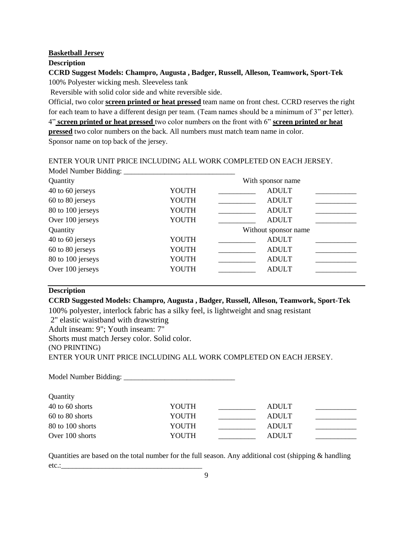#### **Basketball Jersey**

#### **Description**

## **CCRD Suggest Models: Champro, Augusta , Badger, Russell, Alleson, Teamwork, Sport-Tek** 100% Polyester wicking mesh. Sleeveless tank

Reversible with solid color side and white reversible side.

Official, two color **screen printed or heat pressed** team name on front chest. CCRD reserves the right for each team to have a different design per team. (Team names should be a minimum of 3" per letter). 4" **screen printed or heat pressed** two color numbers on the front with 6" **screen printed or heat pressed** two color numbers on the back. All numbers must match team name in color.

Sponsor name on top back of the jersey.

ENTER YOUR UNIT PRICE INCLUDING ALL WORK COMPLETED ON EACH JERSEY.  $M_{\odot}$  del Mumber  $D_{\odot}$ dding:

| Model Number Bidding: |              |                      |
|-----------------------|--------------|----------------------|
| Quantity              |              | With sponsor name    |
| 40 to 60 jerseys      | YOUTH        | <b>ADULT</b>         |
| 60 to 80 jerseys      | YOUTH        | <b>ADULT</b>         |
| 80 to 100 jerseys     | YOUTH        | <b>ADULT</b>         |
| Over 100 jerseys      | YOUTH        | <b>ADULT</b>         |
| Quantity              |              | Without sponsor name |
| 40 to 60 jerseys      | YOUTH        | <b>ADULT</b>         |
| 60 to 80 jerseys      | <b>YOUTH</b> | <b>ADULT</b>         |
| 80 to 100 jerseys     | <b>YOUTH</b> | <b>ADULT</b>         |
| Over 100 jerseys      | YOUTH        | <b>ADULT</b>         |
|                       |              |                      |

## **Description**

## **CCRD Suggested Models: Champro, Augusta , Badger, Russell, Alleson, Teamwork, Sport-Tek**

100% polyester, interlock fabric has a silky feel, is lightweight and snag resistant

2" elastic waistband with drawstring

Adult inseam: 9"; Youth inseam: 7"

Shorts must match Jersey color. Solid color.

(NO PRINTING)

ENTER YOUR UNIT PRICE INCLUDING ALL WORK COMPLETED ON EACH JERSEY.

Model Number Bidding: \_\_\_\_\_\_\_\_\_\_\_\_\_\_\_\_\_\_\_\_\_\_\_\_\_\_\_\_\_\_

| Quantity         |       |              |  |
|------------------|-------|--------------|--|
| 40 to 60 shorts  | YOUTH | ADULT        |  |
| 60 to 80 shorts  | YOUTH | <b>ADULT</b> |  |
| 80 to 100 shorts | YOUTH | <b>ADULT</b> |  |
| Over 100 shorts  | YOUTH | ADULT        |  |

Quantities are based on the total number for the full season. Any additional cost (shipping & handling  $etc.:$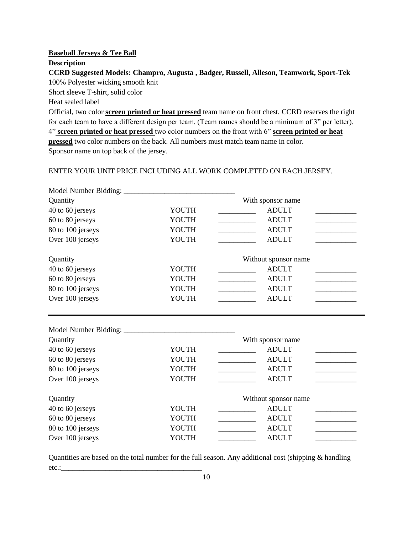## **Baseball Jerseys & Tee Ball**

## **Description**

## **CCRD Suggested Models: Champro, Augusta , Badger, Russell, Alleson, Teamwork, Sport-Tek**  100% Polyester wicking smooth knit

Short sleeve T-shirt, solid color

Heat sealed label

Official, two color **screen printed or heat pressed** team name on front chest. CCRD reserves the right for each team to have a different design per team. (Team names should be a minimum of 3" per letter). 4" **screen printed or heat pressed** two color numbers on the front with 6" **screen printed or heat pressed** two color numbers on the back. All numbers must match team name in color. Sponsor name on top back of the jersey.

## ENTER YOUR UNIT PRICE INCLUDING ALL WORK COMPLETED ON EACH JERSEY.

| Quantity          |              | With sponsor name                            |
|-------------------|--------------|----------------------------------------------|
| 40 to 60 jerseys  | YOUTH        | <b>ADULT</b>                                 |
| 60 to 80 jerseys  | YOUTH        | <b>ADULT</b>                                 |
| 80 to 100 jerseys | YOUTH        | <b>ADULT</b>                                 |
| Over 100 jerseys  | YOUTH        | <b>ADULT</b>                                 |
| Quantity          |              | Without sponsor name                         |
| 40 to 60 jerseys  | YOUTH        | <b>ADULT</b>                                 |
| 60 to 80 jerseys  | YOUTH        | <b>ADULT</b>                                 |
| 80 to 100 jerseys | YOUTH        | <b>ADULT</b>                                 |
| Over 100 jerseys  | YOUTH        | <b>ADULT</b>                                 |
|                   |              |                                              |
| Quantity          |              | With sponsor name                            |
| 40 to 60 jerseys  | YOUTH        | <b>ADULT</b>                                 |
| 60 to 80 jerseys  | <b>YOUTH</b> | <b>ADULT</b><br>$\overline{\phantom{a}}$     |
| 80 to 100 jerseys | YOUTH        | <b>ADULT</b><br><u> Liberatura de la pro</u> |
| Over 100 jerseys  | YOUTH        | <b>ADULT</b>                                 |
| Quantity          |              | Without sponsor name                         |
| 40 to 60 jerseys  | YOUTH        | <b>ADULT</b>                                 |
| 60 to 80 jerseys  | YOUTH        | <b>ADULT</b>                                 |
| 80 to 100 jerseys | YOUTH        | <b>ADULT</b>                                 |
| Over 100 jerseys  | YOUTH        | <b>ADULT</b>                                 |

Quantities are based on the total number for the full season. Any additional cost (shipping & handling etc.:\_\_\_\_\_\_\_\_\_\_\_\_\_\_\_\_\_\_\_\_\_\_\_\_\_\_\_\_\_\_\_\_\_\_\_\_\_\_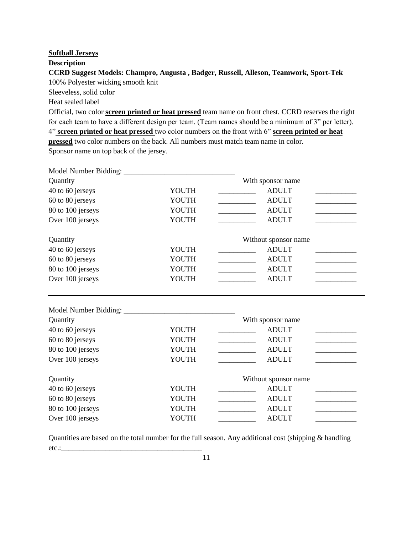#### **Softball Jerseys**

## **Description**

## **CCRD Suggest Models: Champro, Augusta , Badger, Russell, Alleson, Teamwork, Sport-Tek**  100% Polyester wicking smooth knit

Sleeveless, solid color

Heat sealed label

Official, two color **screen printed or heat pressed** team name on front chest. CCRD reserves the right for each team to have a different design per team. (Team names should be a minimum of 3" per letter). 4" **screen printed or heat pressed** two color numbers on the front with 6" **screen printed or heat pressed** two color numbers on the back. All numbers must match team name in color. Sponsor name on top back of the jersey.

| Quantity          |       | With sponsor name                                       |
|-------------------|-------|---------------------------------------------------------|
| 40 to 60 jerseys  | YOUTH | <b>ADULT</b>                                            |
| 60 to 80 jerseys  | YOUTH | <b>ADULT</b><br>the control of the control of the       |
| 80 to 100 jerseys | YOUTH | <b>ADULT</b><br><u> 1989 - Johann Barbara, martxa a</u> |
| Over 100 jerseys  | YOUTH | <b>ADULT</b>                                            |
| Quantity          |       | Without sponsor name                                    |
| 40 to 60 jerseys  | YOUTH | <b>ADULT</b>                                            |
| 60 to 80 jerseys  | YOUTH | <b>ADULT</b>                                            |
| 80 to 100 jerseys | YOUTH | <b>ADULT</b>                                            |
| Over 100 jerseys  | YOUTH | <b>ADULT</b>                                            |
|                   |       |                                                         |
| Quantity          |       | With sponsor name                                       |
| 40 to 60 jerseys  | YOUTH | <b>ADULT</b>                                            |
| 60 to 80 jerseys  | YOUTH | <b>ADULT</b>                                            |
| 80 to 100 jerseys | YOUTH | <b>ADULT</b>                                            |
| Over 100 jerseys  | YOUTH | <b>ADULT</b>                                            |
| Quantity          |       | Without sponsor name                                    |
| 40 to 60 jerseys  | YOUTH | <b>ADULT</b>                                            |
| 60 to 80 jerseys  | YOUTH | <b>ADULT</b>                                            |
| 80 to 100 jerseys | YOUTH | <b>ADULT</b>                                            |
| Over 100 jerseys  | YOUTH | <b>ADULT</b>                                            |

Quantities are based on the total number for the full season. Any additional cost (shipping & handling etc.:\_\_\_\_\_\_\_\_\_\_\_\_\_\_\_\_\_\_\_\_\_\_\_\_\_\_\_\_\_\_\_\_\_\_\_\_\_\_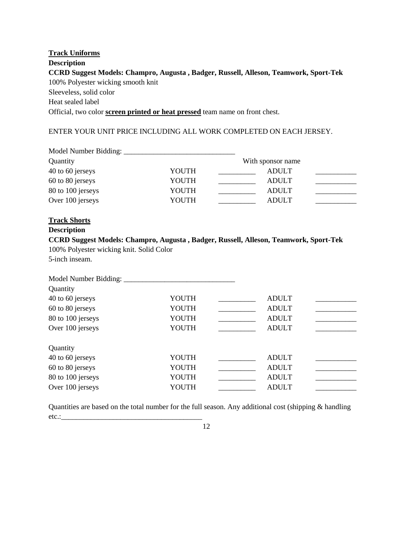# **Track Uniforms Description CCRD Suggest Models: Champro, Augusta , Badger, Russell, Alleson, Teamwork, Sport-Tek**  100% Polyester wicking smooth knit Sleeveless, solid color Heat sealed label Official, two color **screen printed or heat pressed** team name on front chest.

## ENTER YOUR UNIT PRICE INCLUDING ALL WORK COMPLETED ON EACH JERSEY.

| Quantity                                                   |       | With sponsor name                                                                                                                                                                                                                                                                                                                                                                                                                                                      |
|------------------------------------------------------------|-------|------------------------------------------------------------------------------------------------------------------------------------------------------------------------------------------------------------------------------------------------------------------------------------------------------------------------------------------------------------------------------------------------------------------------------------------------------------------------|
| 40 to 60 jerseys                                           | YOUTH | <b>ADULT</b>                                                                                                                                                                                                                                                                                                                                                                                                                                                           |
| 60 to 80 jerseys                                           | YOUTH | <b>ADULT</b><br><u> 1999 - Johann Barnett, fransk politiker</u>                                                                                                                                                                                                                                                                                                                                                                                                        |
| 80 to 100 jerseys                                          | YOUTH | <b>ADULT</b>                                                                                                                                                                                                                                                                                                                                                                                                                                                           |
| Over 100 jerseys                                           | YOUTH | <b>ADULT</b>                                                                                                                                                                                                                                                                                                                                                                                                                                                           |
| <b>Track Shorts</b>                                        |       |                                                                                                                                                                                                                                                                                                                                                                                                                                                                        |
| <b>Description</b>                                         |       |                                                                                                                                                                                                                                                                                                                                                                                                                                                                        |
|                                                            |       | CCRD Suggest Models: Champro, Augusta, Badger, Russell, Alleson, Teamwork, Sport-Tek                                                                                                                                                                                                                                                                                                                                                                                   |
| 100% Polyester wicking knit. Solid Color<br>5-inch inseam. |       |                                                                                                                                                                                                                                                                                                                                                                                                                                                                        |
|                                                            |       |                                                                                                                                                                                                                                                                                                                                                                                                                                                                        |
|                                                            |       |                                                                                                                                                                                                                                                                                                                                                                                                                                                                        |
| Quantity                                                   |       |                                                                                                                                                                                                                                                                                                                                                                                                                                                                        |
| 40 to 60 jerseys                                           | YOUTH | <b>ADULT</b>                                                                                                                                                                                                                                                                                                                                                                                                                                                           |
| 60 to 80 jerseys                                           | YOUTH | <b>ADULT</b><br><u> 1990 - Johann Barnett, fransk politiker</u>                                                                                                                                                                                                                                                                                                                                                                                                        |
| 80 to 100 jerseys                                          | YOUTH | <b>ADULT</b><br>$\label{eq:2.1} \frac{1}{\sqrt{2}}\left(\frac{1}{\sqrt{2}}\right)^{2} \left(\frac{1}{\sqrt{2}}\right)^{2} \left(\frac{1}{\sqrt{2}}\right)^{2} \left(\frac{1}{\sqrt{2}}\right)^{2} \left(\frac{1}{\sqrt{2}}\right)^{2} \left(\frac{1}{\sqrt{2}}\right)^{2} \left(\frac{1}{\sqrt{2}}\right)^{2} \left(\frac{1}{\sqrt{2}}\right)^{2} \left(\frac{1}{\sqrt{2}}\right)^{2} \left(\frac{1}{\sqrt{2}}\right)^{2} \left(\frac{1}{\sqrt{2}}\right)^{2} \left(\$ |
| Over 100 jerseys                                           | YOUTH | <b>ADULT</b>                                                                                                                                                                                                                                                                                                                                                                                                                                                           |
| Quantity                                                   |       |                                                                                                                                                                                                                                                                                                                                                                                                                                                                        |
| 40 to 60 jerseys                                           | YOUTH | <b>ADULT</b>                                                                                                                                                                                                                                                                                                                                                                                                                                                           |
| 60 to 80 jerseys                                           | YOUTH | <b>ADULT</b>                                                                                                                                                                                                                                                                                                                                                                                                                                                           |
| 80 to 100 jerseys                                          | YOUTH | <b>ADULT</b>                                                                                                                                                                                                                                                                                                                                                                                                                                                           |
| Over 100 jerseys                                           | YOUTH | <b>ADULT</b>                                                                                                                                                                                                                                                                                                                                                                                                                                                           |
|                                                            |       |                                                                                                                                                                                                                                                                                                                                                                                                                                                                        |

Quantities are based on the total number for the full season. Any additional cost (shipping & handling etc.:\_\_\_\_\_\_\_\_\_\_\_\_\_\_\_\_\_\_\_\_\_\_\_\_\_\_\_\_\_\_\_\_\_\_\_\_\_\_

12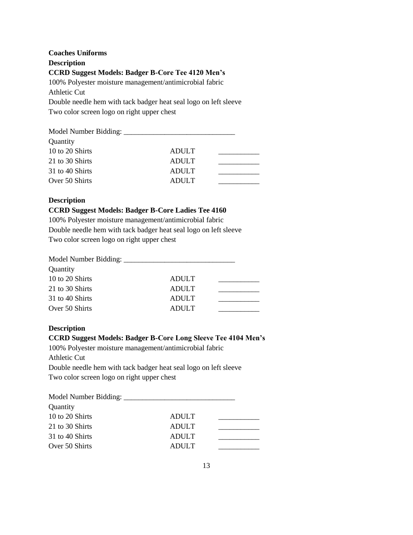# **Coaches Uniforms Description CCRD Suggest Models: Badger B-Core Tee 4120 Men's** 100% Polyester moisture management/antimicrobial fabric Athletic Cut Double needle hem with tack badger heat seal logo on left sleeve Two color screen logo on right upper chest

| Quantity        |              |  |
|-----------------|--------------|--|
| 10 to 20 Shirts | ADULT        |  |
| 21 to 30 Shirts | <b>ADULT</b> |  |
| 31 to 40 Shirts | <b>ADULT</b> |  |
| Over 50 Shirts  | <b>ADULT</b> |  |
|                 |              |  |

## **Description**

#### **CCRD Suggest Models: Badger B-Core Ladies Tee 4160**

100% Polyester moisture management/antimicrobial fabric Double needle hem with tack badger heat seal logo on left sleeve Two color screen logo on right upper chest

| Quantity        |              |  |
|-----------------|--------------|--|
| 10 to 20 Shirts | <b>ADULT</b> |  |
| 21 to 30 Shirts | <b>ADULT</b> |  |
| 31 to 40 Shirts | <b>ADULT</b> |  |
| Over 50 Shirts  | <b>ADULT</b> |  |

#### **Description**

## **CCRD Suggest Models: Badger B-Core Long Sleeve Tee 4104 Men's**

100% Polyester moisture management/antimicrobial fabric

Athletic Cut

Double needle hem with tack badger heat seal logo on left sleeve Two color screen logo on right upper chest

| Quantity        |              |  |
|-----------------|--------------|--|
| 10 to 20 Shirts | <b>ADULT</b> |  |
| 21 to 30 Shirts | <b>ADULT</b> |  |
| 31 to 40 Shirts | <b>ADULT</b> |  |
| Over 50 Shirts  | <b>ADULT</b> |  |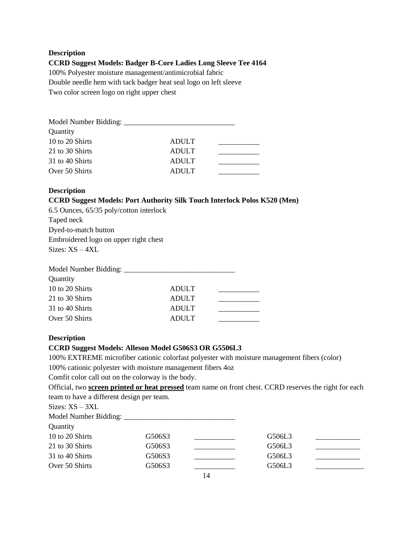#### **Description**

## **CCRD Suggest Models: Badger B-Core Ladies Long Sleeve Tee 4164**

100% Polyester moisture management/antimicrobial fabric Double needle hem with tack badger heat seal logo on left sleeve

Two color screen logo on right upper chest

| Quantity        |              |  |
|-----------------|--------------|--|
| 10 to 20 Shirts | <b>ADULT</b> |  |
| 21 to 30 Shirts | <b>ADULT</b> |  |
| 31 to 40 Shirts | <b>ADULT</b> |  |
| Over 50 Shirts  | <b>ADULT</b> |  |

#### **Description**

## **CCRD Suggest Models: Port Authority Silk Touch Interlock Polos K520 (Men)**

6.5 Ounces, 65/35 poly/cotton interlock Taped neck Dyed-to-match button Embroidered logo on upper right chest Sizes: XS – 4XL

| Quantity        |              |  |
|-----------------|--------------|--|
| 10 to 20 Shirts | <b>ADULT</b> |  |
| 21 to 30 Shirts | <b>ADULT</b> |  |
| 31 to 40 Shirts | ADULT        |  |
| Over 50 Shirts  | <b>ADULT</b> |  |
|                 |              |  |

## **Description**

## **CCRD Suggest Models: Alleson Model G506S3 OR G5506L3**

100% EXTREME microfiber cationic colorfast polyester with moisture management fibers (color)

100% cationic polyester with moisture management fibers 4oz

Comfit color call out on the colorway is the body.

Official, two **screen printed or heat pressed** team name on front chest. CCRD reserves the right for each team to have a different design per team.

| $Sizes: XS - 3XL$ |        |    |        |  |
|-------------------|--------|----|--------|--|
|                   |        |    |        |  |
| Quantity          |        |    |        |  |
| 10 to 20 Shirts   | G506S3 |    | G506L3 |  |
| 21 to 30 Shirts   | G506S3 |    | G506L3 |  |
| 31 to 40 Shirts   | G506S3 |    | G506L3 |  |
| Over 50 Shirts    | G506S3 |    | G506L3 |  |
|                   |        | 14 |        |  |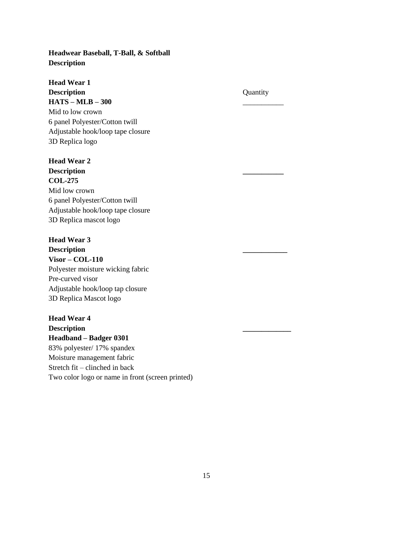## **Headwear Baseball, T-Ball, & Softball Description**

**Head Wear 1 Description** Quantity **HATS – MLB – 300** \_\_\_\_\_\_\_\_\_\_\_ Mid to low crown 6 panel Polyester/Cotton twill Adjustable hook/loop tape closure 3D Replica logo

**Head Wear 2 Description \_\_\_\_\_\_\_\_\_\_\_ COL-275** Mid low crown 6 panel Polyester/Cotton twill Adjustable hook/loop tape closure 3D Replica mascot logo

# **Head Wear 3 Description \_\_\_\_\_\_\_\_\_\_\_\_ Visor – COL-110** Polyester moisture wicking fabric Pre-curved visor Adjustable hook/loop tap closure 3D Replica Mascot logo

**Head Wear 4 Description \_\_\_\_\_\_\_\_\_\_\_\_\_ Headband – Badger 0301** 83% polyester/ 17% spandex Moisture management fabric Stretch fit – clinched in back Two color logo or name in front (screen printed)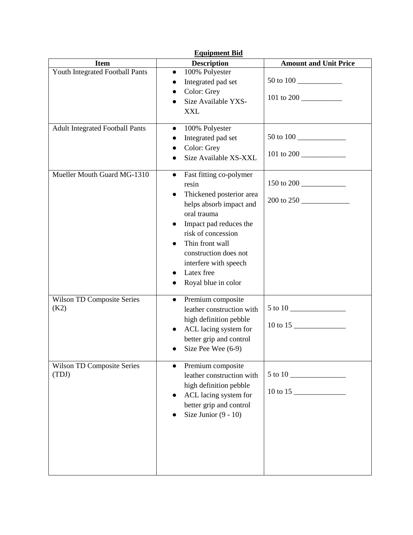| <b>Equipment Bid</b>                       |                                                                                                                                                                                                                                                                                                         |                                                 |  |
|--------------------------------------------|---------------------------------------------------------------------------------------------------------------------------------------------------------------------------------------------------------------------------------------------------------------------------------------------------------|-------------------------------------------------|--|
| <b>Item</b>                                | <b>Description</b>                                                                                                                                                                                                                                                                                      | <b>Amount and Unit Price</b>                    |  |
| Youth Integrated Football Pants            | 100% Polyester<br>$\bullet$<br>Integrated pad set<br>$\bullet$<br>Color: Grey<br>Size Available YXS-<br>$\bullet$<br><b>XXL</b>                                                                                                                                                                         | 50 to 100<br>101 to 200 $\frac{10!}{\sqrt{25}}$ |  |
| <b>Adult Integrated Football Pants</b>     | 100% Polyester<br>$\bullet$<br>Integrated pad set<br>Color: Grey<br>Size Available XS-XXL                                                                                                                                                                                                               | 50 to 100                                       |  |
| Mueller Mouth Guard MG-1310                | Fast fitting co-polymer<br>$\bullet$<br>resin<br>Thickened posterior area<br>$\bullet$<br>helps absorb impact and<br>oral trauma<br>Impact pad reduces the<br>risk of concession<br>Thin front wall<br>$\bullet$<br>construction does not<br>interfere with speech<br>Latex free<br>Royal blue in color | 150 to 200<br>200 to 250                        |  |
| <b>Wilson TD Composite Series</b><br>(K2)  | Premium composite<br>$\bullet$<br>leather construction with<br>high definition pebble<br>ACL lacing system for<br>$\bullet$<br>better grip and control<br>Size Pee Wee (6-9)                                                                                                                            |                                                 |  |
| <b>Wilson TD Composite Series</b><br>(TDJ) | Premium composite<br>leather construction with<br>high definition pebble<br>ACL lacing system for<br>better grip and control<br>Size Junior $(9 - 10)$                                                                                                                                                  |                                                 |  |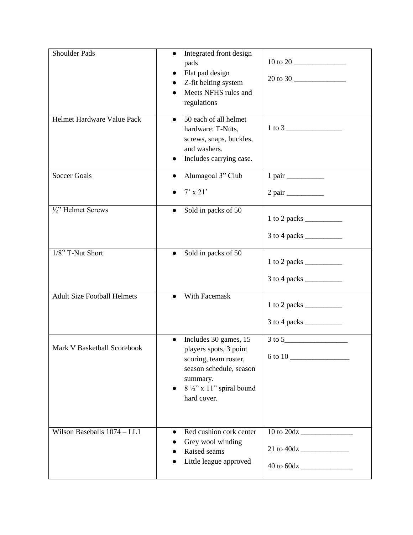| <b>Shoulder Pads</b>               | Integrated front design<br>$\bullet$<br>pads<br>Flat pad design<br>Z-fit belting system<br>Meets NFHS rules and<br>regulations                                                     | 20 to 30                                                        |
|------------------------------------|------------------------------------------------------------------------------------------------------------------------------------------------------------------------------------|-----------------------------------------------------------------|
| Helmet Hardware Value Pack         | $\overline{50}$ each of all helmet<br>$\bullet$<br>hardware: T-Nuts,<br>screws, snaps, buckles,<br>and washers.<br>Includes carrying case.                                         |                                                                 |
| <b>Soccer Goals</b>                | Alumagoal 3" Club<br>$\bullet$                                                                                                                                                     |                                                                 |
|                                    | $7'$ x 21'                                                                                                                                                                         |                                                                 |
| $\frac{1}{2}$ " Helmet Screws      | Sold in packs of 50<br>$\bullet$                                                                                                                                                   |                                                                 |
| 1/8" T-Nut Short                   | Sold in packs of 50<br>$\bullet$                                                                                                                                                   | $1$ to 2 packs $\frac{ }{ }$                                    |
| <b>Adult Size Football Helmets</b> | With Facemask                                                                                                                                                                      | $1$ to 2 packs $\frac{ }{ }$<br>$3 \text{ to } 4 \text{ packs}$ |
| Mark V Basketball Scorebook        | Includes 30 games, 15<br>players spots, 3 point<br>scoring, team roster,<br>season schedule, season<br>summary.<br>$8\frac{1}{2}$ " x 11" spiral bound<br>$\bullet$<br>hard cover. |                                                                 |
| Wilson Baseballs 1074 - LL1        | Red cushion cork center<br>$\bullet$<br>Grey wool winding<br>Raised seams<br>Little league approved                                                                                |                                                                 |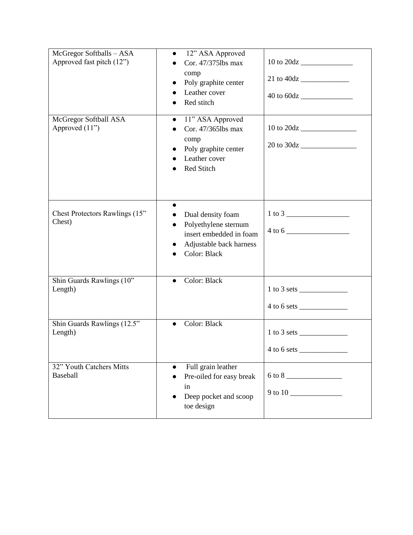| McGregor Softballs - ASA<br>Approved fast pitch (12") | 12" ASA Approved<br>$\bullet$<br>Cor. 47/3751bs max<br>comp<br>Poly graphite center<br>$\bullet$<br>Leather cover<br>Red stitch |                                                |
|-------------------------------------------------------|---------------------------------------------------------------------------------------------------------------------------------|------------------------------------------------|
| McGregor Softball ASA<br>Approved (11")               | 11" ASA Approved<br>$\bullet$<br>Cor. 47/365lbs max<br>comp<br>Poly graphite center<br>Leather cover<br>Red Stitch              |                                                |
| Chest Protectors Rawlings (15"<br>Chest)              | Dual density foam<br>Polyethylene sternum<br>$\bullet$<br>insert embedded in foam<br>Adjustable back harness<br>Color: Black    |                                                |
| Shin Guards Rawlings (10"<br>Length)                  | Color: Black<br>$\bullet$                                                                                                       |                                                |
| Shin Guards Rawlings (12.5"<br>Length)                | Color: Black                                                                                                                    | $1 \text{ to } 3 \text{ sets }$<br>4 to 6 sets |
| 32" Youth Catchers Mitts<br>Baseball                  | Full grain leather<br>Pre-oiled for easy break<br>in<br>Deep pocket and scoop<br>toe design                                     |                                                |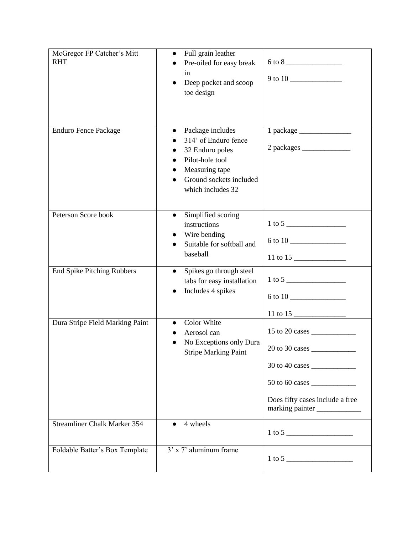| McGregor FP Catcher's Mitt          | Full grain leather<br>$\bullet$        |                                 |
|-------------------------------------|----------------------------------------|---------------------------------|
| <b>RHT</b>                          | Pre-oiled for easy break               |                                 |
|                                     | in                                     |                                 |
|                                     | Deep pocket and scoop                  |                                 |
|                                     | toe design                             |                                 |
|                                     |                                        |                                 |
|                                     |                                        |                                 |
| <b>Enduro Fence Package</b>         | Package includes<br>$\bullet$          |                                 |
|                                     | 314' of Enduro fence                   |                                 |
|                                     | 32 Enduro poles                        | 2 packages                      |
|                                     | Pilot-hole tool                        |                                 |
|                                     | Measuring tape                         |                                 |
|                                     | Ground sockets included<br>$\bullet$   |                                 |
|                                     | which includes 32                      |                                 |
|                                     |                                        |                                 |
| Peterson Score book                 | Simplified scoring<br>$\bullet$        |                                 |
|                                     | instructions                           |                                 |
|                                     | Wire bending                           |                                 |
|                                     | Suitable for softball and<br>baseball  |                                 |
|                                     |                                        |                                 |
| <b>End Spike Pitching Rubbers</b>   | Spikes go through steel<br>$\bullet$   |                                 |
|                                     | tabs for easy installation             |                                 |
|                                     | Includes 4 spikes                      |                                 |
|                                     |                                        |                                 |
|                                     |                                        |                                 |
| Dura Stripe Field Marking Paint     | Color White<br>$\bullet$               |                                 |
|                                     | Aerosol can<br>No Exceptions only Dura |                                 |
|                                     | <b>Stripe Marking Paint</b>            | 20 to 30 cases                  |
|                                     |                                        |                                 |
|                                     |                                        |                                 |
|                                     |                                        |                                 |
|                                     |                                        | Does fifty cases include a free |
|                                     |                                        | marking painter                 |
| <b>Streamliner Chalk Marker 354</b> | 4 wheels                               |                                 |
|                                     |                                        |                                 |
|                                     |                                        |                                 |
| Foldable Batter's Box Template      | $3'$ x 7' aluminum frame               |                                 |
|                                     |                                        |                                 |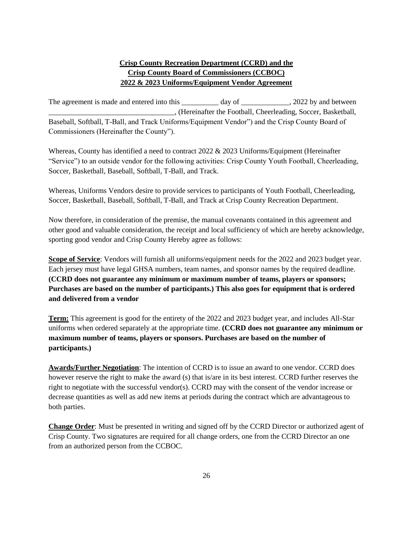# **Crisp County Recreation Department (CCRD) and the Crisp County Board of Commissioners (CCBOC) 2022 & 2023 Uniforms/Equipment Vendor Agreement**

The agreement is made and entered into this day of the agreement is made and entered into this day of the 2022 by and between \_\_\_\_\_\_\_\_\_\_\_\_\_\_\_\_\_\_\_\_\_\_\_\_\_\_\_\_\_\_\_\_\_\_, (Hereinafter the Football, Cheerleading, Soccer, Basketball, Baseball, Softball, T-Ball, and Track Uniforms/Equipment Vendor") and the Crisp County Board of Commissioners (Hereinafter the County").

Whereas, County has identified a need to contract 2022 & 2023 Uniforms/Equipment (Hereinafter "Service") to an outside vendor for the following activities: Crisp County Youth Football, Cheerleading, Soccer, Basketball, Baseball, Softball, T-Ball, and Track.

Whereas, Uniforms Vendors desire to provide services to participants of Youth Football, Cheerleading, Soccer, Basketball, Baseball, Softball, T-Ball, and Track at Crisp County Recreation Department.

Now therefore, in consideration of the premise, the manual covenants contained in this agreement and other good and valuable consideration, the receipt and local sufficiency of which are hereby acknowledge, sporting good vendor and Crisp County Hereby agree as follows:

**Scope of Service**: Vendors will furnish all uniforms/equipment needs for the 2022 and 2023 budget year. Each jersey must have legal GHSA numbers, team names, and sponsor names by the required deadline. **(CCRD does not guarantee any minimum or maximum number of teams, players or sponsors; Purchases are based on the number of participants.) This also goes for equipment that is ordered and delivered from a vendor** 

**Term:** This agreement is good for the entirety of the 2022 and 2023 budget year, and includes All-Star uniforms when ordered separately at the appropriate time. **(CCRD does not guarantee any minimum or maximum number of teams, players or sponsors. Purchases are based on the number of participants.)**

**Awards/Further Negotiation**: The intention of CCRD is to issue an award to one vendor. CCRD does however reserve the right to make the award (s) that is/are in its best interest. CCRD further reserves the right to negotiate with the successful vendor(s). CCRD may with the consent of the vendor increase or decrease quantities as well as add new items at periods during the contract which are advantageous to both parties.

**Change Order**: Must be presented in writing and signed off by the CCRD Director or authorized agent of Crisp County. Two signatures are required for all change orders, one from the CCRD Director an one from an authorized person from the CCBOC.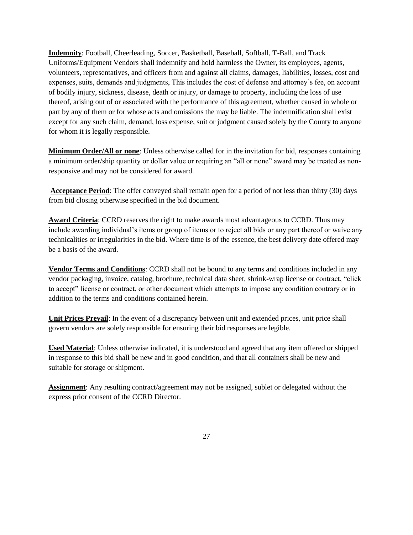**Indemnity**: Football, Cheerleading, Soccer, Basketball, Baseball, Softball, T-Ball, and Track Uniforms/Equipment Vendors shall indemnify and hold harmless the Owner, its employees, agents, volunteers, representatives, and officers from and against all claims, damages, liabilities, losses, cost and expenses, suits, demands and judgments, This includes the cost of defense and attorney's fee, on account of bodily injury, sickness, disease, death or injury, or damage to property, including the loss of use thereof, arising out of or associated with the performance of this agreement, whether caused in whole or part by any of them or for whose acts and omissions the may be liable. The indemnification shall exist except for any such claim, demand, loss expense, suit or judgment caused solely by the County to anyone for whom it is legally responsible.

**Minimum Order/All or none**: Unless otherwise called for in the invitation for bid, responses containing a minimum order/ship quantity or dollar value or requiring an "all or none" award may be treated as nonresponsive and may not be considered for award.

**Acceptance Period**: The offer conveyed shall remain open for a period of not less than thirty (30) days from bid closing otherwise specified in the bid document.

**Award Criteria**: CCRD reserves the right to make awards most advantageous to CCRD. Thus may include awarding individual's items or group of items or to reject all bids or any part thereof or waive any technicalities or irregularities in the bid. Where time is of the essence, the best delivery date offered may be a basis of the award.

**Vendor Terms and Conditions**: CCRD shall not be bound to any terms and conditions included in any vendor packaging, invoice, catalog, brochure, technical data sheet, shrink-wrap license or contract, "click to accept" license or contract, or other document which attempts to impose any condition contrary or in addition to the terms and conditions contained herein.

**Unit Prices Prevail:** In the event of a discrepancy between unit and extended prices, unit price shall govern vendors are solely responsible for ensuring their bid responses are legible.

**Used Material**: Unless otherwise indicated, it is understood and agreed that any item offered or shipped in response to this bid shall be new and in good condition, and that all containers shall be new and suitable for storage or shipment.

**Assignment**: Any resulting contract/agreement may not be assigned, sublet or delegated without the express prior consent of the CCRD Director.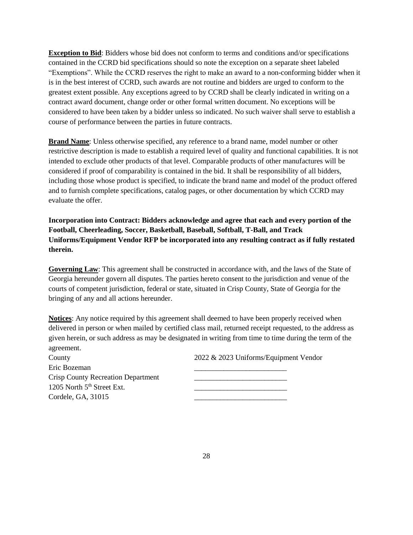**Exception to Bid**: Bidders whose bid does not conform to terms and conditions and/or specifications contained in the CCRD bid specifications should so note the exception on a separate sheet labeled "Exemptions". While the CCRD reserves the right to make an award to a non-conforming bidder when it is in the best interest of CCRD, such awards are not routine and bidders are urged to conform to the greatest extent possible. Any exceptions agreed to by CCRD shall be clearly indicated in writing on a contract award document, change order or other formal written document. No exceptions will be considered to have been taken by a bidder unless so indicated. No such waiver shall serve to establish a course of performance between the parties in future contracts.

**Brand Name**: Unless otherwise specified, any reference to a brand name, model number or other restrictive description is made to establish a required level of quality and functional capabilities. It is not intended to exclude other products of that level. Comparable products of other manufactures will be considered if proof of comparability is contained in the bid. It shall be responsibility of all bidders, including those whose product is specified, to indicate the brand name and model of the product offered and to furnish complete specifications, catalog pages, or other documentation by which CCRD may evaluate the offer.

**Incorporation into Contract: Bidders acknowledge and agree that each and every portion of the Football, Cheerleading, Soccer, Basketball, Baseball, Softball, T-Ball, and Track Uniforms/Equipment Vendor RFP be incorporated into any resulting contract as if fully restated therein.** 

**Governing Law**: This agreement shall be constructed in accordance with, and the laws of the State of Georgia hereunder govern all disputes. The parties hereto consent to the jurisdiction and venue of the courts of competent jurisdiction, federal or state, situated in Crisp County, State of Georgia for the bringing of any and all actions hereunder.

**Notices**: Any notice required by this agreement shall deemed to have been properly received when delivered in person or when mailed by certified class mail, returned receipt requested, to the address as given herein, or such address as may be designated in writing from time to time during the term of the agreement.

| County                                    | $2022 \& 2023$ Uniforms/Equipn |
|-------------------------------------------|--------------------------------|
| Eric Bozeman                              |                                |
| <b>Crisp County Recreation Department</b> |                                |
| 1205 North 5 <sup>th</sup> Street Ext.    |                                |
| Cordele, GA, 31015                        |                                |

 $2022 \& 2023$  Uniforms/Equipment Vendor